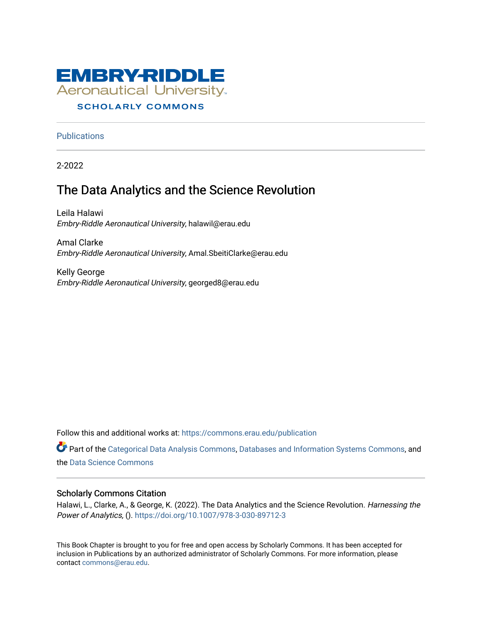

#### **SCHOLARLY COMMONS**

**Publications** 

2-2022

## The Data Analytics and the Science Revolution

Leila Halawi Embry-Riddle Aeronautical University, halawil@erau.edu

Amal Clarke Embry-Riddle Aeronautical University, Amal.SbeitiClarke@erau.edu

Kelly George Embry-Riddle Aeronautical University, georged8@erau.edu

Follow this and additional works at: [https://commons.erau.edu/publication](https://commons.erau.edu/publication?utm_source=commons.erau.edu%2Fpublication%2F1799&utm_medium=PDF&utm_campaign=PDFCoverPages) 

Part of the [Categorical Data Analysis Commons,](https://network.bepress.com/hgg/discipline/817?utm_source=commons.erau.edu%2Fpublication%2F1799&utm_medium=PDF&utm_campaign=PDFCoverPages) [Databases and Information Systems Commons](https://network.bepress.com/hgg/discipline/145?utm_source=commons.erau.edu%2Fpublication%2F1799&utm_medium=PDF&utm_campaign=PDFCoverPages), and the [Data Science Commons](https://network.bepress.com/hgg/discipline/1429?utm_source=commons.erau.edu%2Fpublication%2F1799&utm_medium=PDF&utm_campaign=PDFCoverPages)

#### Scholarly Commons Citation

Halawi, L., Clarke, A., & George, K. (2022). The Data Analytics and the Science Revolution. Harnessing the Power of Analytics, ().<https://doi.org/10.1007/978-3-030-89712-3>

This Book Chapter is brought to you for free and open access by Scholarly Commons. It has been accepted for inclusion in Publications by an authorized administrator of Scholarly Commons. For more information, please contact [commons@erau.edu.](mailto:commons@erau.edu)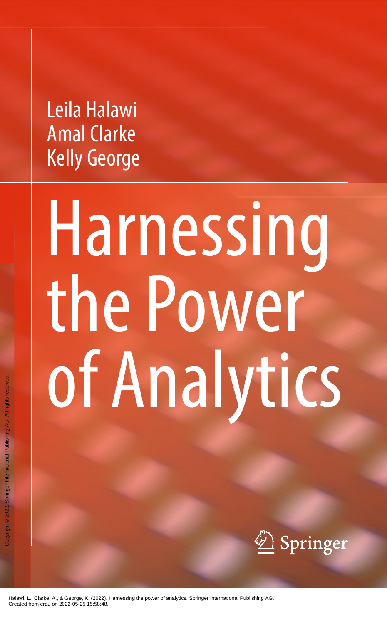Leila Halawi Amal Clarke Kelly George

# Harnessing the Power of Analytics Created from erau on 2022-05-25 15:58:48.<br>Created from erau on 2022-05-25 15:58:48.<br>Created from erau on 2022-05-25 15:58:48.



Halawi, L., Clarke, A., & George, K. (2022). Harnessing the power of analytics. Springer International Publishing AG.<br>Created from erau on 2022-05-25 15:58:48.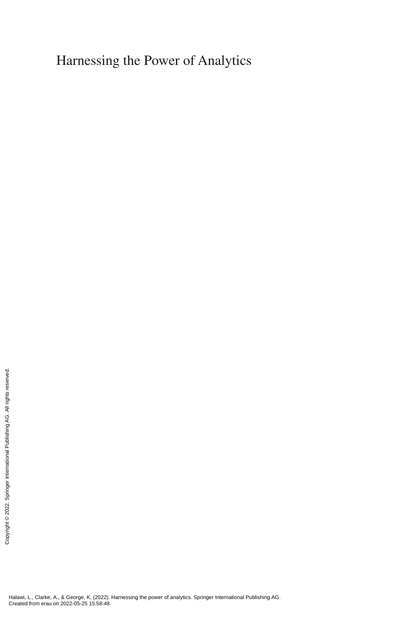Harnessing the Power of Analytics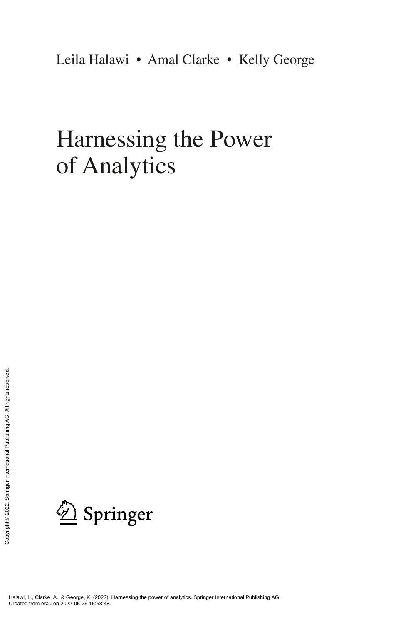# Harnessing the Power of Analytics

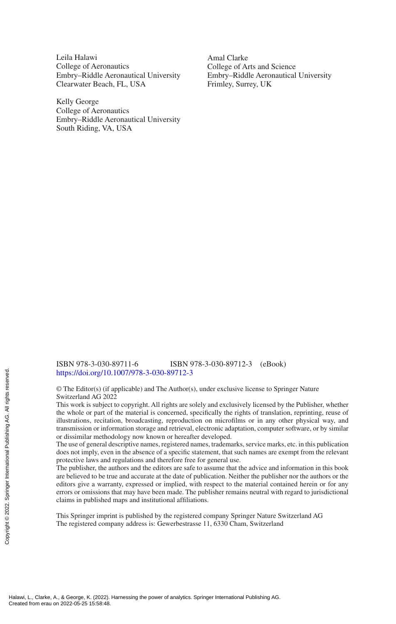Leila Halawi College of Aeronautics Embry–Riddle Aeronautical University Clearwater Beach, FL, USA

Kelly George College of Aeronautics Embry–Riddle Aeronautical University South Riding, VA, USA

Amal Clarke College of Arts and Science Embry–Riddle Aeronautical University Frimley, Surrey, UK

#### ISBN 978-3-030-89711-6 ISBN 978-3-030-89712-3 (eBook) <https://doi.org/10.1007/978-3-030-89712-3>

© The Editor(s) (if applicable) and The Author(s), under exclusive license to Springer Nature Switzerland AG 2022

This work is subject to copyright. All rights are solely and exclusively licensed by the Publisher, whether the whole or part of the material is concerned, specifcally the rights of translation, reprinting, reuse of illustrations, recitation, broadcasting, reproduction on microflms or in any other physical way, and transmission or information storage and retrieval, electronic adaptation, computer software, or by similar or dissimilar methodology now known or hereafter developed.

The use of general descriptive names, registered names, trademarks, service marks, etc. in this publication does not imply, even in the absence of a specifc statement, that such names are exempt from the relevant protective laws and regulations and therefore free for general use.

The publisher, the authors and the editors are safe to assume that the advice and information in this book are believed to be true and accurate at the date of publication. Neither the publisher nor the authors or the editors give a warranty, expressed or implied, with respect to the material contained herein or for any errors or omissions that may have been made. The publisher remains neutral with regard to jurisdictional claims in published maps and institutional affliations. The Editor (s) (if Switzerland AG 20)<br>
This work is subject<br>
the whole or part of the whole or part of the whole or part of<br>
illustrations, recitated transmission or information<br>
The use of general does not imply, every<br>

This Springer imprint is published by the registered company Springer Nature Switzerland AG The registered company address is: Gewerbestrasse 11, 6330 Cham, Switzerland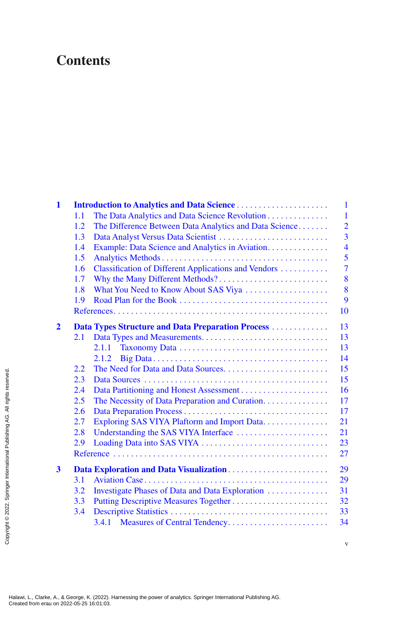# **Contents**

|                |                                                               | 1                  |
|----------------|---------------------------------------------------------------|--------------------|
|                | The Data Analytics and Data Science Revolution<br>1.1         | $\mathbf{1}$       |
|                | 1.2<br>The Difference Between Data Analytics and Data Science | $\overline{2}$     |
|                | 1.3                                                           | $\overline{3}$     |
|                | Example: Data Science and Analytics in Aviation.<br>1.4       | $\overline{4}$     |
|                | 1.5                                                           | 5                  |
|                | Classification of Different Applications and Vendors<br>1.6   | $\overline{7}$     |
|                | 1.7                                                           | 8                  |
|                | What You Need to Know About SAS Viya<br>1.8                   | 8                  |
|                | 1.9                                                           | 9                  |
|                |                                                               | 10                 |
| $\overline{2}$ | Data Types Structure and Data Preparation Process             | 13                 |
|                | 2.1                                                           | 13                 |
|                | 2.1.1                                                         | 13                 |
|                | 2.1.2                                                         | 14                 |
|                | 2.2                                                           | 15                 |
|                | 2.3                                                           | 15                 |
|                | 2.4                                                           | 16                 |
|                | 2.5<br>The Necessity of Data Preparation and Curation.        | 17                 |
|                | 2.6                                                           | 17                 |
|                | 2.7<br>Exploring SAS VIYA Plaftorm and Import Data.           | 21                 |
|                | 2.8                                                           | 21                 |
|                | 2.9                                                           | 23                 |
|                |                                                               | 27                 |
| 3              | Data Exploration and Data Visualization                       | 29                 |
|                | 3.1                                                           | 29                 |
|                | Investigate Phases of Data and Data Exploration<br>3.2        | 31                 |
|                | 3.3                                                           | 32                 |
|                | 3.4                                                           | 33                 |
|                |                                                               |                    |
|                | Measures of Central Tendency<br>3.4.1                         |                    |
|                |                                                               |                    |
|                |                                                               | 34<br>$\mathbf{V}$ |
|                |                                                               |                    |
|                |                                                               |                    |
|                |                                                               |                    |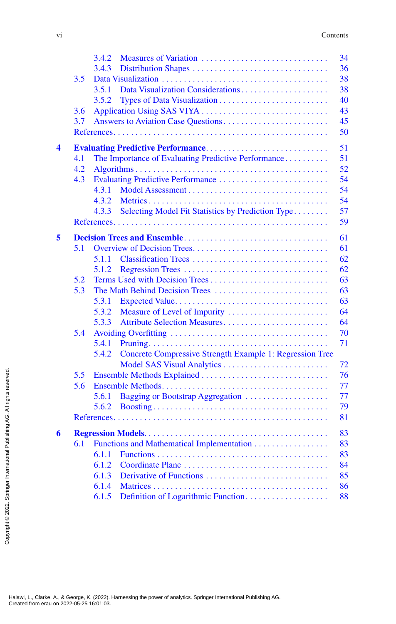|                                          |                      | 34<br>3.4.2<br>Measures of Variation<br>36<br>3.4.3                                                                                                                |
|------------------------------------------|----------------------|--------------------------------------------------------------------------------------------------------------------------------------------------------------------|
|                                          |                      | 38<br>3.5<br>38<br>3.5.1                                                                                                                                           |
|                                          |                      | 40<br>3.5.2                                                                                                                                                        |
|                                          |                      | 43<br>3.6                                                                                                                                                          |
|                                          |                      | 45<br>3.7                                                                                                                                                          |
|                                          |                      | 50                                                                                                                                                                 |
|                                          | $\blacktriangleleft$ | 51<br><b>Evaluating Predictive Performance</b>                                                                                                                     |
|                                          |                      | The Importance of Evaluating Predictive Performance<br>51<br>4.1                                                                                                   |
|                                          |                      | 52<br>4.2                                                                                                                                                          |
|                                          |                      | 54<br>4.3                                                                                                                                                          |
|                                          |                      | 54<br>4.3.1                                                                                                                                                        |
|                                          |                      | 54<br>4.3.2                                                                                                                                                        |
|                                          |                      | Selecting Model Fit Statistics by Prediction Type<br>57<br>4.3.3                                                                                                   |
|                                          |                      | 59                                                                                                                                                                 |
|                                          | 5                    | 61                                                                                                                                                                 |
|                                          |                      | 61<br>5.1                                                                                                                                                          |
|                                          |                      | 62<br>5.1.1                                                                                                                                                        |
|                                          |                      | 62<br>5.1.2                                                                                                                                                        |
|                                          |                      | 63<br>5.2                                                                                                                                                          |
|                                          |                      | 63<br>5.3                                                                                                                                                          |
|                                          |                      | 63<br>5.3.1                                                                                                                                                        |
|                                          |                      | 64<br>Measure of Level of Impurity<br>5.3.2                                                                                                                        |
|                                          |                      | 64<br>Attribute Selection Measures<br>5.3.3                                                                                                                        |
|                                          |                      | 70<br>5.4                                                                                                                                                          |
|                                          |                      | 71<br>5.4.1                                                                                                                                                        |
|                                          |                      | <b>Concrete Compressive Strength Example 1: Regression Tree</b><br>5.4.2<br>72<br>Model SAS Visual Analytics                                                       |
|                                          |                      | 76<br>5.5                                                                                                                                                          |
|                                          |                      | 77<br>5.6                                                                                                                                                          |
|                                          |                      | 77<br>Bagging or Bootstrap Aggregation<br>5.6.1                                                                                                                    |
|                                          |                      | 79<br>5.6.2                                                                                                                                                        |
|                                          |                      | 81                                                                                                                                                                 |
| ublishing AG. All rights reserved.       | 6                    | 83                                                                                                                                                                 |
|                                          |                      | 83<br>6.1                                                                                                                                                          |
|                                          |                      | 6.1.1<br>83                                                                                                                                                        |
|                                          |                      | 6.1.2<br>84                                                                                                                                                        |
|                                          |                      | 6.1.3<br>Derivative of Functions<br>85                                                                                                                             |
|                                          |                      | 6.1.4<br>86                                                                                                                                                        |
|                                          |                      | Definition of Logarithmic Function<br>6.1.5<br>88                                                                                                                  |
| Copyright © 22. Springer International F |                      |                                                                                                                                                                    |
|                                          |                      | Halawi, L., Clarke, A., & George, K. (2022). Harnessing the power of analytics. Springer International Publishing AG.<br>Created from erau on 2022-05-25 16:01:03. |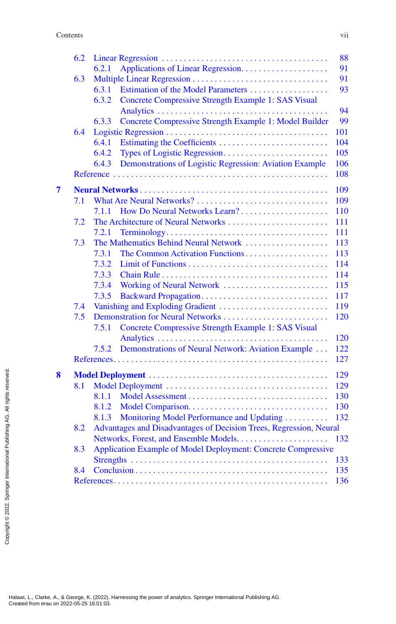#### Contents

|                                            |   | 88<br>6.2<br>91<br>6.2.1                                                                                               |
|--------------------------------------------|---|------------------------------------------------------------------------------------------------------------------------|
|                                            |   | 91<br>6.3<br>93<br>6.3.1                                                                                               |
|                                            |   | 6.3.2<br><b>Concrete Compressive Strength Example 1: SAS Visual</b><br>94                                              |
|                                            |   | 99<br>6.3.3<br>Concrete Compressive Strength Example 1: Model Builder                                                  |
|                                            |   | 101<br>6.4                                                                                                             |
|                                            |   | 104<br>6.4.1                                                                                                           |
|                                            |   | 6.4.2<br>105                                                                                                           |
|                                            |   | Demonstrations of Logistic Regression: Aviation Example<br>106<br>6.4.3                                                |
|                                            |   | 108                                                                                                                    |
|                                            | 7 | 109                                                                                                                    |
|                                            |   | 109<br>7.1                                                                                                             |
|                                            |   | How Do Neural Networks Learn?<br>110<br>7.1.1                                                                          |
|                                            |   | 111<br>7.2                                                                                                             |
|                                            |   | 111<br>7.2.1                                                                                                           |
|                                            |   | The Mathematics Behind Neural Network<br>113<br>7.3                                                                    |
|                                            |   | 7.3.1<br>113                                                                                                           |
|                                            |   | 7.3.2<br>114                                                                                                           |
|                                            |   | 7.3.3<br>114                                                                                                           |
|                                            |   | Working of Neural Network<br>7.3.4<br>115                                                                              |
|                                            |   | 117<br>7.3.5                                                                                                           |
|                                            |   | 119<br>7.4                                                                                                             |
|                                            |   | Demonstration for Neural Networks<br>120<br>7.5<br><b>Concrete Compressive Strength Example 1: SAS Visual</b><br>7.5.1 |
|                                            |   | 120<br>Demonstrations of Neural Network: Aviation Example<br>7.5.2<br>122                                              |
|                                            |   | 127                                                                                                                    |
|                                            |   |                                                                                                                        |
|                                            | 8 | 129                                                                                                                    |
|                                            |   | 129<br>8.1<br>8.1.1<br>130                                                                                             |
|                                            |   | 130<br>8.1.2                                                                                                           |
|                                            |   | Monitoring Model Performance and Updating<br>132<br>8.1.3                                                              |
| ublishing AG. All rights reserved.         |   | Advantages and Disadvantages of Decision Trees, Regression, Neural<br>8.2                                              |
|                                            |   |                                                                                                                        |
|                                            |   | Application Example of Model Deployment: Concrete Compressive<br>8.3                                                   |
|                                            |   | 133                                                                                                                    |
|                                            |   | 135<br>8.4                                                                                                             |
|                                            |   | 136                                                                                                                    |
|                                            |   |                                                                                                                        |
|                                            |   |                                                                                                                        |
|                                            |   |                                                                                                                        |
|                                            |   |                                                                                                                        |
| Copyright © 2022. Springer International I |   |                                                                                                                        |
|                                            |   |                                                                                                                        |
|                                            |   |                                                                                                                        |
|                                            |   |                                                                                                                        |
|                                            |   |                                                                                                                        |
|                                            |   | Halawi, L., Clarke, A., & George, K. (2022). Harnessing the power of analytics. Springer International Publishing AG.  |
|                                            |   | Created from erau on 2022-05-25 16:01:03.                                                                              |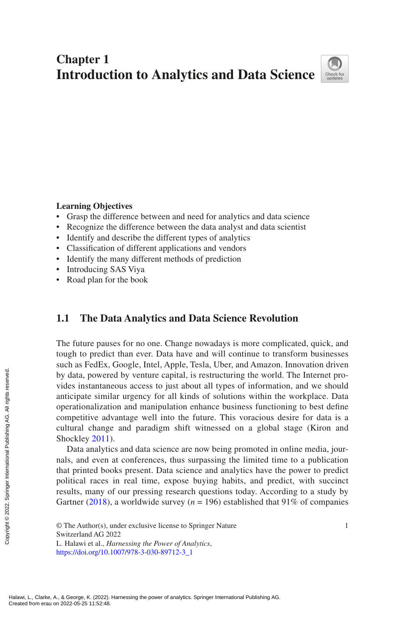## **Chapter 1 Introduction to Analytics and Data Science**



#### **Learning Objectives**

- Grasp the difference between and need for analytics and data science
- Recognize the difference between the data analyst and data scientist
- Identify and describe the different types of analytics
- Classifcation of different applications and vendors
- Identify the many different methods of prediction
- Introducing SAS Viya
- Road plan for the book

#### **1.1 The Data Analytics and Data Science Revolution**

The future pauses for no one. Change nowadays is more complicated, quick, and tough to predict than ever. Data have and will continue to transform businesses such as FedEx, Google, Intel, Apple, Tesla, Uber, and Amazon. Innovation driven by data, powered by venture capital, is restructuring the world. The Internet provides instantaneous access to just about all types of information, and we should anticipate similar urgency for all kinds of solutions within the workplace. Data operationalization and manipulation enhance business functioning to best defne competitive advantage well into the future. This voracious desire for data is a cultural change and paradigm shift witnessed on a global stage (Kiron and Shockley 2011). Best and the sum of the competitive and competitive and cultural change<br>  $\frac{1}{2}$   $\frac{1}{2}$   $\frac{1}{2}$   $\frac{1}{2}$   $\frac{1}{2}$   $\frac{1}{2}$   $\frac{1}{2}$   $\frac{1}{2}$   $\frac{1}{2}$   $\frac{1}{2}$   $\frac{1}{2}$   $\frac{1}{2}$   $\frac{1}{2}$   $\frac{1}{2}$   $\frac{1}{2}$ 

Data analytics and data science are now being promoted in online media, journals, and even at conferences, thus surpassing the limited time to a publication that printed books present. Data science and analytics have the power to predict political races in real time, expose buying habits, and predict, with succinct results, many of our pressing research questions today. According to a study by Gartner (2018), a worldwide survey ( $n = 196$ ) established that 91% of companies

<sup>©</sup> The Author(s), under exclusive license to Springer Nature 1 Switzerland AG 2022

L. Halawi et al., *Harnessing the Power of Analytics*, [https://doi.org/10.1007/978-3-030-89712-3\\_1](https://doi.org/10.1007/978-3-030-89712-3_1#DOI)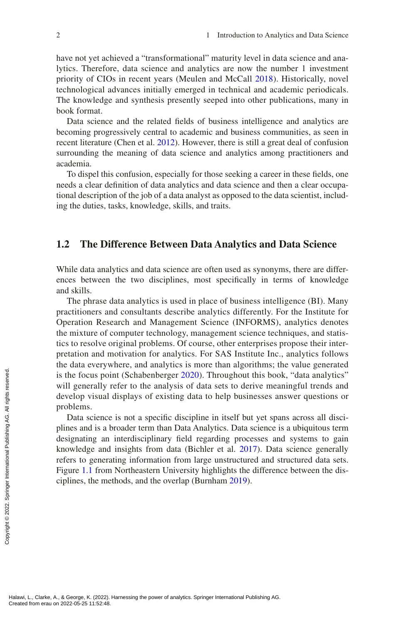have not yet achieved a "transformational" maturity level in data science and analytics. Therefore, data science and analytics are now the number 1 investment priority of CIOs in recent years (Meulen and McCall 2018). Historically, novel technological advances initially emerged in technical and academic periodicals. The knowledge and synthesis presently seeped into other publications, many in book format.

Data science and the related felds of business intelligence and analytics are becoming progressively central to academic and business communities, as seen in recent literature (Chen et al. 2012). However, there is still a great deal of confusion surrounding the meaning of data science and analytics among practitioners and academia.

To dispel this confusion, especially for those seeking a career in these felds, one needs a clear defnition of data analytics and data science and then a clear occupational description of the job of a data analyst as opposed to the data scientist, including the duties, tasks, knowledge, skills, and traits.

#### **1.2 The Difference Between Data Analytics and Data Science**

While data analytics and data science are often used as synonyms, there are differences between the two disciplines, most specifcally in terms of knowledge and skills.

The phrase data analytics is used in place of business intelligence (BI). Many practitioners and consultants describe analytics differently. For the Institute for Operation Research and Management Science (INFORMS), analytics denotes the mixture of computer technology, management science techniques, and statistics to resolve original problems. Of course, other enterprises propose their interpretation and motivation for analytics. For SAS Institute Inc., analytics follows the data everywhere, and analytics is more than algorithms; the value generated is the focus point (Schabenberger 2020). Throughout this book, "data analytics" will generally refer to the analysis of data sets to derive meaningful trends and develop visual displays of existing data to help businesses answer questions or problems.

Data science is not a specifc discipline in itself but yet spans across all disciplines and is a broader term than Data Analytics. Data science is a ubiquitous term designating an interdisciplinary feld regarding processes and systems to gain knowledge and insights from data (Bichler et al. 2017). Data science generally refers to generating information from large unstructured and structured data sets. Figure 1.1 from Northeastern University highlights the difference between the disciplines, the methods, and the overlap (Burnham 2019). From eraus on 2022-05-25 11:52:48.<br>
From Express of Agents Created from erau on 2022-05-25 11:52:48.<br>
Publishing AG. All rights and is a l<br>
designating an<br>
refers to general<br>
Figure 1.1 from<br>
ciplines, the me<br>  $\frac{1}{2}$ <br>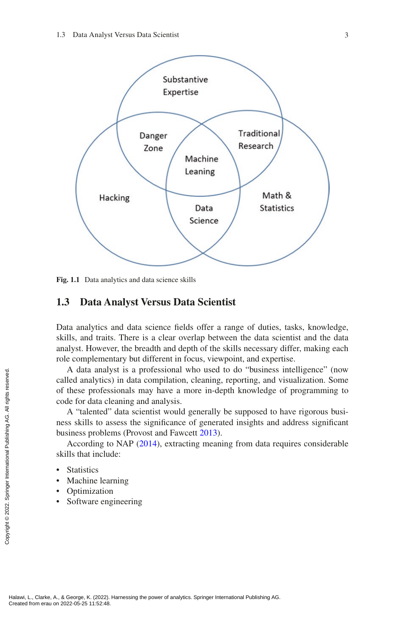

**Fig. 1.1** Data analytics and data science skills

#### **1.3 Data Analyst Versus Data Scientist**

Data analytics and data science felds offer a range of duties, tasks, knowledge, skills, and traits. There is a clear overlap between the data scientist and the data analyst. However, the breadth and depth of the skills necessary differ, making each role complementary but different in focus, viewpoint, and expertise.

A data analyst is a professional who used to do "business intelligence" (now called analytics) in data compilation, cleaning, reporting, and visualization. Some of these professionals may have a more in-depth knowledge of programming to code for data cleaning and analysis. Created from erau on 2022-05-25 11:52:48.<br>
Halawi, L., Clarke, A., & George, K. (2022).<br>
Created from erau on 2022-05-25 11:52:48.<br>
Created from erau on 2022-05-25 11:52:48.<br>
Created from erau on 2022-05-25 11:52:48.

A "talented" data scientist would generally be supposed to have rigorous business skills to assess the signifcance of generated insights and address signifcant business problems (Provost and Fawcett 2013).

According to NAP (2014), extracting meaning from data requires considerable skills that include:

- **Statistics**
- Machine learning
- **Optimization**
- Software engineering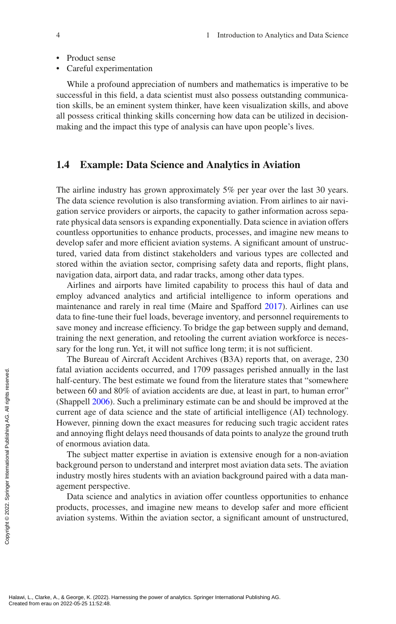- Product sense
- Careful experimentation

While a profound appreciation of numbers and mathematics is imperative to be successful in this feld, a data scientist must also possess outstanding communication skills, be an eminent system thinker, have keen visualization skills, and above all possess critical thinking skills concerning how data can be utilized in decisionmaking and the impact this type of analysis can have upon people's lives.

#### **1.4 Example: Data Science and Analytics in Aviation**

The airline industry has grown approximately 5% per year over the last 30 years. The data science revolution is also transforming aviation. From airlines to air navigation service providers or airports, the capacity to gather information across separate physical data sensors is expanding exponentially. Data science in aviation offers countless opportunities to enhance products, processes, and imagine new means to develop safer and more efficient aviation systems. A significant amount of unstructured, varied data from distinct stakeholders and various types are collected and stored within the aviation sector, comprising safety data and reports, fight plans, navigation data, airport data, and radar tracks, among other data types.

Airlines and airports have limited capability to process this haul of data and employ advanced analytics and artifcial intelligence to inform operations and maintenance and rarely in real time (Maire and Spafford 2017). Airlines can use data to fne-tune their fuel loads, beverage inventory, and personnel requirements to save money and increase efficiency. To bridge the gap between supply and demand, training the next generation, and retooling the current aviation workforce is necessary for the long run. Yet, it will not suffice long term; it is not sufficient.

The Bureau of Aircraft Accident Archives (B3A) reports that, on average, 230 fatal aviation accidents occurred, and 1709 passages perished annually in the last half-century. The best estimate we found from the literature states that "somewhere between 60 and 80% of aviation accidents are due, at least in part, to human error" (Shappell 2006). Such a preliminary estimate can be and should be improved at the current age of data science and the state of artifcial intelligence (AI) technology. However, pinning down the exact measures for reducing such tragic accident rates and annoying fight delays need thousands of data points to analyze the ground truth of enormous aviation data. Example and aviation and half-century. The between 60 and (Shappell 2006) current age of (However, pinni and annoying fl<br>distributed from the subject background perfect background perfect background perfect background per

The subject matter expertise in aviation is extensive enough for a non-aviation background person to understand and interpret most aviation data sets. The aviation industry mostly hires students with an aviation background paired with a data management perspective.

Data science and analytics in aviation offer countless opportunities to enhance products, processes, and imagine new means to develop safer and more effcient aviation systems. Within the aviation sector, a signifcant amount of unstructured,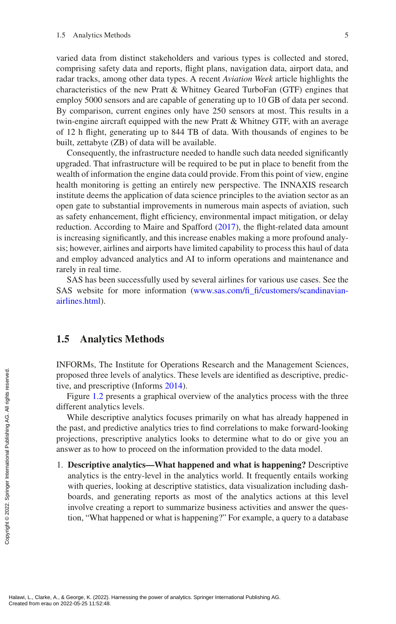varied data from distinct stakeholders and various types is collected and stored, comprising safety data and reports, fight plans, navigation data, airport data, and radar tracks, among other data types. A recent *Aviation Week* article highlights the characteristics of the new Pratt & Whitney Geared TurboFan (GTF) engines that employ 5000 sensors and are capable of generating up to 10 GB of data per second. By comparison, current engines only have 250 sensors at most. This results in a twin-engine aircraft equipped with the new Pratt & Whitney GTF, with an average of 12 h fight, generating up to 844 TB of data. With thousands of engines to be built, zettabyte (ZB) of data will be available.

Consequently, the infrastructure needed to handle such data needed signifcantly upgraded. That infrastructure will be required to be put in place to beneft from the wealth of information the engine data could provide. From this point of view, engine health monitoring is getting an entirely new perspective. The INNAXIS research institute deems the application of data science principles to the aviation sector as an open gate to substantial improvements in numerous main aspects of aviation, such as safety enhancement, flight efficiency, environmental impact mitigation, or delay reduction. According to Maire and Spafford (2017), the fight-related data amount is increasing signifcantly, and this increase enables making a more profound analysis; however, airlines and airports have limited capability to process this haul of data and employ advanced analytics and AI to inform operations and maintenance and rarely in real time.

SAS has been successfully used by several airlines for various use cases. See the SAS website for more information (www.sas.com/fi fi/customers/scandinavian[airlines.html](http://www.sas.com/fi_fi/customers/scandinavian-airlines.html)).

#### **1.5 Analytics Methods**

INFORMs, The Institute for Operations Research and the Management Sciences, proposed three levels of analytics. These levels are identifed as descriptive, predictive, and prescriptive (Informs 2014).

Figure 1.2 presents a graphical overview of the analytics process with the three different analytics levels.

While descriptive analytics focuses primarily on what has already happened in the past, and predictive analytics tries to fnd correlations to make forward-looking projections, prescriptive analytics looks to determine what to do or give you an answer as to how to proceed on the information provided to the data model.

1. **Descriptive analytics—What happened and what is happening?** Descriptive analytics is the entry-level in the analytics world. It frequently entails working with queries, looking at descriptive statistics, data visualization including dashboards, and generating reports as most of the analytics actions at this level involve creating a report to summarize business activities and answer the question, "What happened or what is happening?" For example, a query to a database proposed three<br>tive, and prescription<br>Figure 1.2 p<br>different analyt<br>While descriptions with descriptions, preanswer as to ho<br>answer as to ho<br>1. **Descriptive**<br>analytics is<br>with queries<br>boards, and<br>involve creation, "What<br>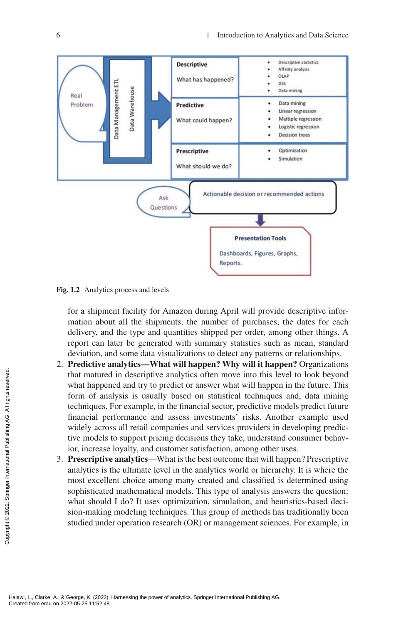

**Fig. 1.2** Analytics process and levels

for a shipment facility for Amazon during April will provide descriptive information about all the shipments, the number of purchases, the dates for each delivery, and the type and quantities shipped per order, among other things. A report can later be generated with summary statistics such as mean, standard deviation, and some data visualizations to detect any patterns or relationships.

- 2. **Predictive analytics—What will happen? Why will it happen?** Organizations that matured in descriptive analytics often move into this level to look beyond what happened and try to predict or answer what will happen in the future. This form of analysis is usually based on statistical techniques and, data mining techniques. For example, in the fnancial sector, predictive models predict future fnancial performance and assess investments' risks. Another example used widely across all retail companies and services providers in developing predictive models to support pricing decisions they take, understand consumer behavior, increase loyalty, and customer satisfaction, among other uses. From of and the matured<br>  $\vec{z}$  or  $\vec{y}$  form of and<br>
techniques. I<br>
financial pe<br>
widely acros<br>
tive models<br>
ior, increase<br>
3. **Prescriptive**<br>
analytics is t<br>
most excelle<br>
sophisticated<br>
what should<br>
sion-making<br>
stu
	- 3. **Prescriptive analytics**—What is the best outcome that will happen? Prescriptive analytics is the ultimate level in the analytics world or hierarchy. It is where the most excellent choice among many created and classifed is determined using sophisticated mathematical models. This type of analysis answers the question: what should I do? It uses optimization, simulation, and heuristics-based decision-making modeling techniques. This group of methods has traditionally been studied under operation research (OR) or management sciences. For example, in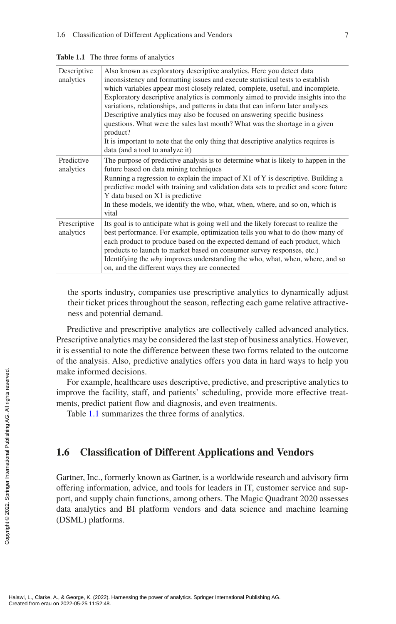| Descriptive<br>analytics  | Also known as exploratory descriptive analytics. Here you detect data<br>inconsistency and formatting issues and execute statistical tests to establish<br>which variables appear most closely related, complete, useful, and incomplete.<br>Exploratory descriptive analytics is commonly aimed to provide insights into the<br>variations, relationships, and patterns in data that can inform later analyses<br>Descriptive analytics may also be focused on answering specific business<br>questions. What were the sales last month? What was the shortage in a given<br>product?<br>It is important to note that the only thing that descriptive analytics requires is<br>data (and a tool to analyze it) |
|---------------------------|-----------------------------------------------------------------------------------------------------------------------------------------------------------------------------------------------------------------------------------------------------------------------------------------------------------------------------------------------------------------------------------------------------------------------------------------------------------------------------------------------------------------------------------------------------------------------------------------------------------------------------------------------------------------------------------------------------------------|
| Predictive<br>analytics   | The purpose of predictive analysis is to determine what is likely to happen in the<br>future based on data mining techniques<br>Running a regression to explain the impact of X1 of Y is descriptive. Building a<br>predictive model with training and validation data sets to predict and score future<br>Y data based on X1 is predictive<br>In these models, we identify the who, what, when, where, and so on, which is<br>vital                                                                                                                                                                                                                                                                            |
| Prescriptive<br>analytics | Its goal is to anticipate what is going well and the likely forecast to realize the<br>best performance. For example, optimization tells you what to do (how many of<br>each product to produce based on the expected demand of each product, which<br>products to launch to market based on consumer survey responses, etc.)<br>Identifying the <i>why</i> improves understanding the who, what, when, where, and so<br>on, and the different ways they are connected                                                                                                                                                                                                                                          |

**Table 1.1** The three forms of analytics

the sports industry, companies use prescriptive analytics to dynamically adjust their ticket prices throughout the season, refecting each game relative attractiveness and potential demand.

Predictive and prescriptive analytics are collectively called advanced analytics. Prescriptive analytics may be considered the last step of business analytics. However, it is essential to note the difference between these two forms related to the outcome of the analysis. Also, predictive analytics offers you data in hard ways to help you make informed decisions.

For example, healthcare uses descriptive, predictive, and prescriptive analytics to improve the facility, staff, and patients' scheduling, provide more effective treatments, predict patient fow and diagnosis, and even treatments.

Table 1.1 summarizes the three forms of analytics.

#### **1.6 Classifcation of Different Applications and Vendors**

Gartner, Inc., formerly known as Gartner, is a worldwide research and advisory frm offering information, advice, and tools for leaders in IT, customer service and support, and supply chain functions, among others. The Magic Quadrant 2020 assesses data analytics and BI platform vendors and data science and machine learning (DSML) platforms. make informed<br>
For example<br>
improve the fact<br>
ments, predict r<br>
Table 1.1 sure<br>  $\frac{1}{2}$ <br>  $\frac{1}{2}$ <br>  $\frac{1}{2}$ <br>  $\frac{1}{2}$ <br>  $\frac{1}{2}$ <br>  $\frac{1}{2}$ <br>  $\frac{1}{2}$ <br>  $\frac{1}{2}$ <br>  $\frac{1}{2}$ <br>  $\frac{1}{2}$ <br>  $\frac{1}{2}$ <br>  $\frac{1}{2}$ <br>  $\frac{1}{2}$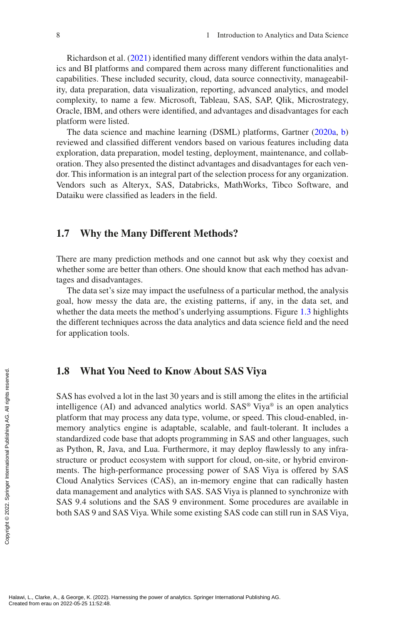Richardson et al. (2021) identifed many different vendors within the data analytics and BI platforms and compared them across many different functionalities and capabilities. These included security, cloud, data source connectivity, manageability, data preparation, data visualization, reporting, advanced analytics, and model complexity, to name a few. Microsoft, Tableau, SAS, SAP, Qlik, Microstrategy, Oracle, IBM, and others were identifed, and advantages and disadvantages for each platform were listed.

The data science and machine learning (DSML) platforms, Gartner (2020a, b) reviewed and classifed different vendors based on various features including data exploration, data preparation, model testing, deployment, maintenance, and collaboration. They also presented the distinct advantages and disadvantages for each vendor. This information is an integral part of the selection process for any organization. Vendors such as Alteryx, SAS, Databricks, MathWorks, Tibco Software, and Dataiku were classifed as leaders in the feld.

#### **1.7 Why the Many Different Methods?**

There are many prediction methods and one cannot but ask why they coexist and whether some are better than others. One should know that each method has advantages and disadvantages.

The data set's size may impact the usefulness of a particular method, the analysis goal, how messy the data are, the existing patterns, if any, in the data set, and whether the data meets the method's underlying assumptions. Figure 1.3 highlights the different techniques across the data analytics and data science feld and the need for application tools.

#### **1.8 What You Need to Know About SAS Viya**

SAS has evolved a lot in the last 30 years and is still among the elites in the artifcial intelligence (AI) and advanced analytics world. SAS® Viya® is an open analytics platform that may process any data type, volume, or speed. This cloud-enabled, inmemory analytics engine is adaptable, scalable, and fault-tolerant. It includes a standardized code base that adopts programming in SAS and other languages, such as Python, R, Java, and Lua. Furthermore, it may deploy fawlessly to any infrastructure or product ecosystem with support for cloud, on-site, or hybrid environments. The high-performance processing power of SAS Viya is offered by SAS Cloud Analytics Services (CAS), an in-memory engine that can radically hasten data management and analytics with SAS. SAS Viya is planned to synchronize with SAS 9.4 solutions and the SAS 9 environment. Some procedures are available in both SAS 9 and SAS Viya. While some existing SAS code can still run in SAS Viya, **Created from erals on 2022-05-25 11:52:48.**<br>
Halawi, L., Clarke, A., & George, K. (2022).<br>
Created from erau on 2022-05-25 11:52:48.<br>
Created from erau on 2022-05-25 11:52:48.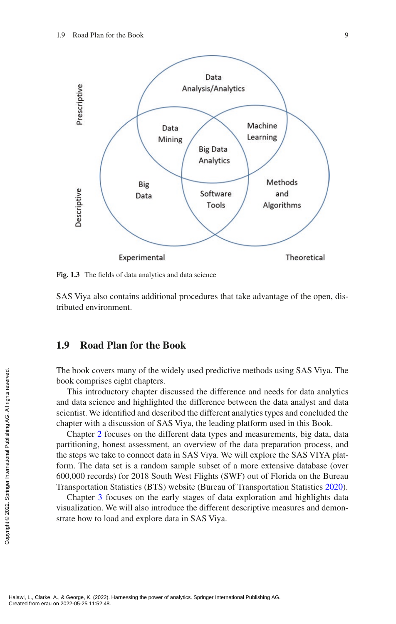

Fig. 1.3 The fields of data analytics and data science

SAS Viya also contains additional procedures that take advantage of the open, distributed environment.

#### **1.9 Road Plan for the Book**

The book covers many of the widely used predictive methods using SAS Viya. The book comprises eight chapters.

This introductory chapter discussed the difference and needs for data analytics and data science and highlighted the difference between the data analyst and data scientist. We identifed and described the different analytics types and concluded the chapter with a discussion of SAS Viya, the leading platform used in this Book.

Chapter 2 focuses on the different data types and measurements, big data, data partitioning, honest assessment, an overview of the data preparation process, and the steps we take to connect data in SAS Viya. We will explore the SAS VIYA platform. The data set is a random sample subset of a more extensive database (over 600,000 records) for 2018 South West Flights (SWF) out of Florida on the Bureau Transportation Statistics (BTS) website (Bureau of Transportation Statistics 2020). The book cover<br>
book comprises<br>  $\overline{z}$  book comprises<br>
This introdu<br>
and data science<br>
scientist. We ide<br>
chapter with a c<br>
Chapter 2 fc<br>
partitioning, ho<br>
the steps we tak<br>
form. The data<br>  $600,000$  record-<br>
Transporta

Chapter 3 focuses on the early stages of data exploration and highlights data visualization. We will also introduce the different descriptive measures and demonstrate how to load and explore data in SAS Viya.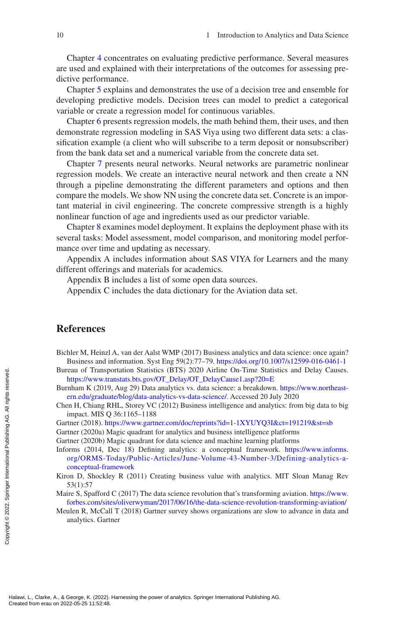Chapter 4 concentrates on evaluating predictive performance. Several measures are used and explained with their interpretations of the outcomes for assessing predictive performance.

Chapter 5 explains and demonstrates the use of a decision tree and ensemble for developing predictive models. Decision trees can model to predict a categorical variable or create a regression model for continuous variables.

Chapter 6 presents regression models, the math behind them, their uses, and then demonstrate regression modeling in SAS Viya using two different data sets: a classifcation example (a client who will subscribe to a term deposit or nonsubscriber) from the bank data set and a numerical variable from the concrete data set.

Chapter 7 presents neural networks. Neural networks are parametric nonlinear regression models. We create an interactive neural network and then create a NN through a pipeline demonstrating the different parameters and options and then compare the models. We show NN using the concrete data set. Concrete is an important material in civil engineering. The concrete compressive strength is a highly nonlinear function of age and ingredients used as our predictor variable.

Chapter 8 examines model deployment. It explains the deployment phase with its several tasks: Model assessment, model comparison, and monitoring model performance over time and updating as necessary.

Appendix A includes information about SAS VIYA for Learners and the many different offerings and materials for academics.

Appendix B includes a list of some open data sources.

Appendix C includes the data dictionary for the Aviation data set.

#### **References**

- Bichler M, Heinzl A, van der Aalst WMP (2017) Business analytics and data science: once again? Business and information. Syst Eng 59(2):77–79. <https://doi.org/10.1007/s12599-016-0461-1>
- Bureau of Transportation Statistics (BTS) 2020 Airline On-Time Statistics and Delay Causes. [https://www.transtats.bts.gov/OT\\_Delay/OT\\_DelayCause1.asp?20=E](https://www.transtats.bts.gov/OT_Delay/OT_DelayCause1.asp?20=E)
- Burnham K (2019, Aug 29) Data analytics vs. data science: a breakdown. [https://www.northeast](https://www.northeastern.edu/graduate/blog/data-analytics-vs-data-science/)[ern.edu/graduate/blog/data-analytics-vs-data-science/](https://www.northeastern.edu/graduate/blog/data-analytics-vs-data-science/). Accessed 20 July 2020
- Chen H, Chiang RHL, Storey VC (2012) Business intelligence and analytics: from big data to big impact. MIS Q 36:1165–1188
- Gartner (2018). <https://www.gartner.com/doc/reprints?id=1-1XYUYQ3I&ct=191219&st=sb>
- Gartner (2020a) Magic quadrant for analytics and business intelligence platforms
- Gartner (2020b) Magic quadrant for data science and machine learning platforms
- Informs (2014, Dec 18) Defning analytics: a conceptual framework. [https://www.informs.](https://www.informs.org/ORMS-Today/Public-Articles/June-Volume-43-Number-3/Defining-analytics-a-conceptual-framework) [org/ORMS-Today/Public-Articles/June-Volume-43-Number-3/Defining-analytics-a](https://www.informs.org/ORMS-Today/Public-Articles/June-Volume-43-Number-3/Defining-analytics-a-conceptual-framework)[conceptual-framework](https://www.informs.org/ORMS-Today/Public-Articles/June-Volume-43-Number-3/Defining-analytics-a-conceptual-framework)
- Kiron D, Shockley R (2011) Creating business value with analytics. MIT Sloan Manag Rev 53(1):57
- Maire S, Spafford C (2017) The data science revolution that's transforming aviation. [https://www.](https://www.forbes.com/sites/oliverwyman/2017/06/16/the-data-science-revolution-transforming-aviation/) [forbes.com/sites/oliverwyman/2017/06/16/the-data-science-revolution-transforming-aviation/](https://www.forbes.com/sites/oliverwyman/2017/06/16/the-data-science-revolution-transforming-aviation/)
- Meulen R, McCall T (2018) Gartner survey shows organizations are slow to advance in data and analytics. Gartner